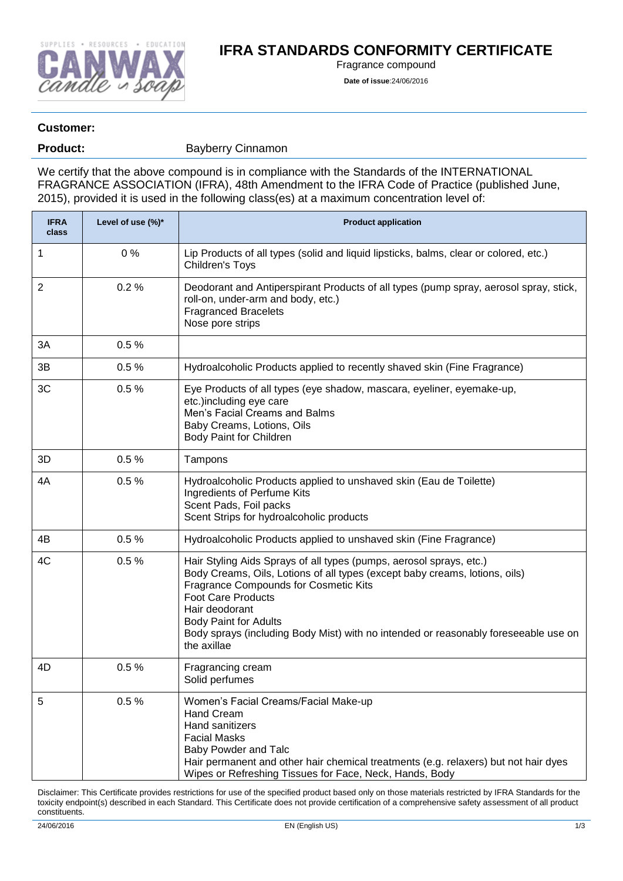

## **IFRA STANDARDS CONFORMITY CERTIFICATE**

Fragrance compound

**Date of issue**:24/06/2016

## **Customer:**

Product: Bayberry Cinnamon

We certify that the above compound is in compliance with the Standards of the INTERNATIONAL FRAGRANCE ASSOCIATION (IFRA), 48th Amendment to the IFRA Code of Practice (published June, 2015), provided it is used in the following class(es) at a maximum concentration level of:

| <b>IFRA</b><br>class | Level of use (%)* | <b>Product application</b>                                                                                                                                                                                                                                                                                                                                                              |
|----------------------|-------------------|-----------------------------------------------------------------------------------------------------------------------------------------------------------------------------------------------------------------------------------------------------------------------------------------------------------------------------------------------------------------------------------------|
| 1                    | 0%                | Lip Products of all types (solid and liquid lipsticks, balms, clear or colored, etc.)<br>Children's Toys                                                                                                                                                                                                                                                                                |
| $\overline{2}$       | 0.2%              | Deodorant and Antiperspirant Products of all types (pump spray, aerosol spray, stick,<br>roll-on, under-arm and body, etc.)<br><b>Fragranced Bracelets</b><br>Nose pore strips                                                                                                                                                                                                          |
| 3A                   | 0.5%              |                                                                                                                                                                                                                                                                                                                                                                                         |
| 3B                   | 0.5%              | Hydroalcoholic Products applied to recently shaved skin (Fine Fragrance)                                                                                                                                                                                                                                                                                                                |
| 3C                   | 0.5%              | Eye Products of all types (eye shadow, mascara, eyeliner, eyemake-up,<br>etc.)including eye care<br>Men's Facial Creams and Balms<br>Baby Creams, Lotions, Oils<br><b>Body Paint for Children</b>                                                                                                                                                                                       |
| 3D                   | 0.5%              | Tampons                                                                                                                                                                                                                                                                                                                                                                                 |
| 4A                   | 0.5%              | Hydroalcoholic Products applied to unshaved skin (Eau de Toilette)<br>Ingredients of Perfume Kits<br>Scent Pads, Foil packs<br>Scent Strips for hydroalcoholic products                                                                                                                                                                                                                 |
| 4B                   | 0.5%              | Hydroalcoholic Products applied to unshaved skin (Fine Fragrance)                                                                                                                                                                                                                                                                                                                       |
| 4C                   | 0.5%              | Hair Styling Aids Sprays of all types (pumps, aerosol sprays, etc.)<br>Body Creams, Oils, Lotions of all types (except baby creams, lotions, oils)<br><b>Fragrance Compounds for Cosmetic Kits</b><br><b>Foot Care Products</b><br>Hair deodorant<br><b>Body Paint for Adults</b><br>Body sprays (including Body Mist) with no intended or reasonably foreseeable use on<br>the axillae |
| 4D                   | 0.5%              | Fragrancing cream<br>Solid perfumes                                                                                                                                                                                                                                                                                                                                                     |
| 5                    | 0.5%              | Women's Facial Creams/Facial Make-up<br><b>Hand Cream</b><br>Hand sanitizers<br><b>Facial Masks</b><br>Baby Powder and Talc<br>Hair permanent and other hair chemical treatments (e.g. relaxers) but not hair dyes<br>Wipes or Refreshing Tissues for Face, Neck, Hands, Body                                                                                                           |

Disclaimer: This Certificate provides restrictions for use of the specified product based only on those materials restricted by IFRA Standards for the toxicity endpoint(s) described in each Standard. This Certificate does not provide certification of a comprehensive safety assessment of all product constituents.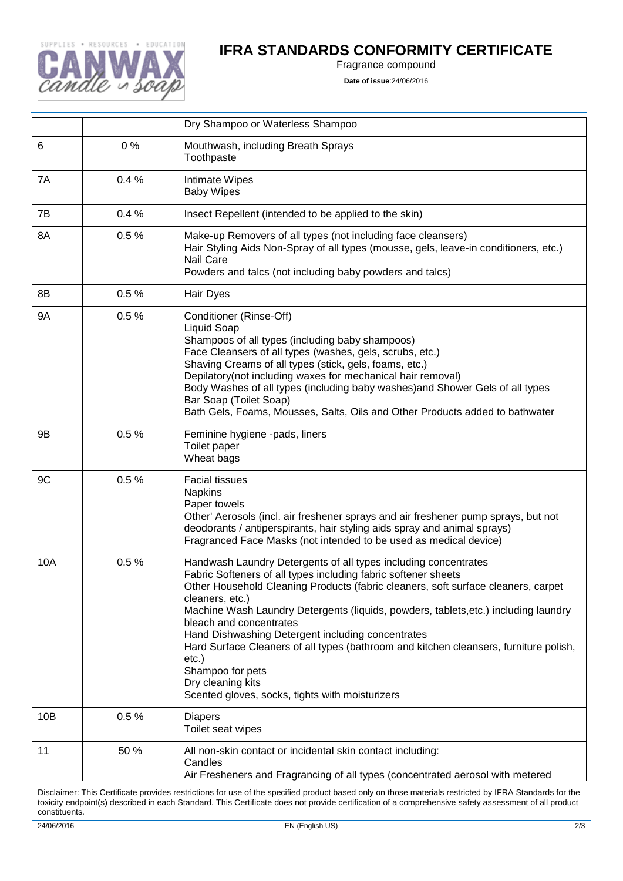

## **IFRA STANDARDS CONFORMITY CERTIFICATE**

Fragrance compound

**Date of issue**:24/06/2016

|           |      | Dry Shampoo or Waterless Shampoo                                                                                                                                                                                                                                                                                                                                                                                                                                                                                                                                                                                  |
|-----------|------|-------------------------------------------------------------------------------------------------------------------------------------------------------------------------------------------------------------------------------------------------------------------------------------------------------------------------------------------------------------------------------------------------------------------------------------------------------------------------------------------------------------------------------------------------------------------------------------------------------------------|
| 6         | 0%   | Mouthwash, including Breath Sprays<br>Toothpaste                                                                                                                                                                                                                                                                                                                                                                                                                                                                                                                                                                  |
| 7A        | 0.4% | Intimate Wipes<br><b>Baby Wipes</b>                                                                                                                                                                                                                                                                                                                                                                                                                                                                                                                                                                               |
| 7B        | 0.4% | Insect Repellent (intended to be applied to the skin)                                                                                                                                                                                                                                                                                                                                                                                                                                                                                                                                                             |
| 8A        | 0.5% | Make-up Removers of all types (not including face cleansers)<br>Hair Styling Aids Non-Spray of all types (mousse, gels, leave-in conditioners, etc.)<br>Nail Care<br>Powders and talcs (not including baby powders and talcs)                                                                                                                                                                                                                                                                                                                                                                                     |
| 8B        | 0.5% | Hair Dyes                                                                                                                                                                                                                                                                                                                                                                                                                                                                                                                                                                                                         |
| <b>9A</b> | 0.5% | Conditioner (Rinse-Off)<br>Liquid Soap<br>Shampoos of all types (including baby shampoos)<br>Face Cleansers of all types (washes, gels, scrubs, etc.)<br>Shaving Creams of all types (stick, gels, foams, etc.)<br>Depilatory(not including waxes for mechanical hair removal)<br>Body Washes of all types (including baby washes) and Shower Gels of all types<br>Bar Soap (Toilet Soap)<br>Bath Gels, Foams, Mousses, Salts, Oils and Other Products added to bathwater                                                                                                                                         |
| 9B        | 0.5% | Feminine hygiene -pads, liners<br>Toilet paper<br>Wheat bags                                                                                                                                                                                                                                                                                                                                                                                                                                                                                                                                                      |
| 9C        | 0.5% | <b>Facial tissues</b><br><b>Napkins</b><br>Paper towels<br>Other' Aerosols (incl. air freshener sprays and air freshener pump sprays, but not<br>deodorants / antiperspirants, hair styling aids spray and animal sprays)<br>Fragranced Face Masks (not intended to be used as medical device)                                                                                                                                                                                                                                                                                                                    |
| 10A       | 0.5% | Handwash Laundry Detergents of all types including concentrates<br>Fabric Softeners of all types including fabric softener sheets<br>Other Household Cleaning Products (fabric cleaners, soft surface cleaners, carpet<br>cleaners, etc.)<br>Machine Wash Laundry Detergents (liquids, powders, tablets, etc.) including laundry<br>bleach and concentrates<br>Hand Dishwashing Detergent including concentrates<br>Hard Surface Cleaners of all types (bathroom and kitchen cleansers, furniture polish,<br>$etc.$ )<br>Shampoo for pets<br>Dry cleaning kits<br>Scented gloves, socks, tights with moisturizers |
| 10B       | 0.5% | <b>Diapers</b><br>Toilet seat wipes                                                                                                                                                                                                                                                                                                                                                                                                                                                                                                                                                                               |
| 11        | 50 % | All non-skin contact or incidental skin contact including:<br>Candles<br>Air Fresheners and Fragrancing of all types (concentrated aerosol with metered                                                                                                                                                                                                                                                                                                                                                                                                                                                           |

Disclaimer: This Certificate provides restrictions for use of the specified product based only on those materials restricted by IFRA Standards for the toxicity endpoint(s) described in each Standard. This Certificate does not provide certification of a comprehensive safety assessment of all product constituents.